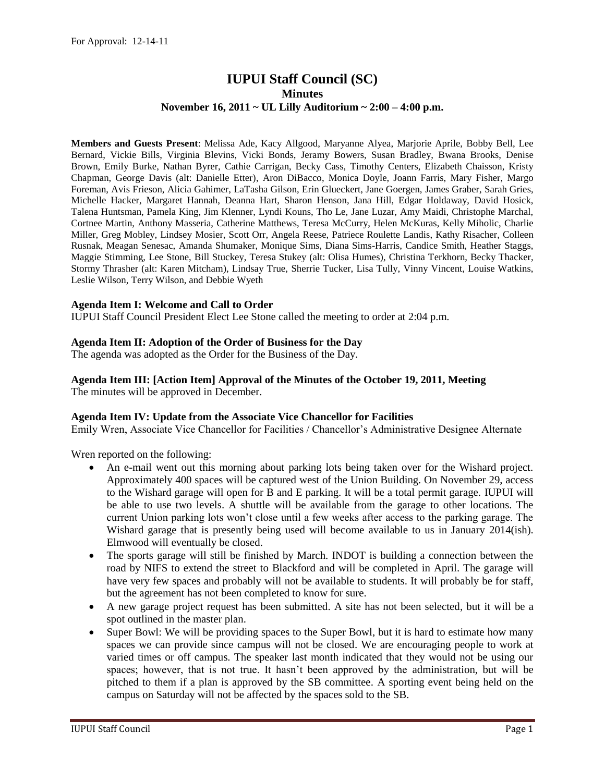# **IUPUI Staff Council (SC) Minutes November 16, 2011 ~ UL Lilly Auditorium ~ 2:00 – 4:00 p.m.**

**Members and Guests Present**: Melissa Ade, Kacy Allgood, Maryanne Alyea, Marjorie Aprile, Bobby Bell, Lee Bernard, Vickie Bills, Virginia Blevins, Vicki Bonds, Jeramy Bowers, Susan Bradley, Bwana Brooks, Denise Brown, Emily Burke, Nathan Byrer, Cathie Carrigan, Becky Cass, Timothy Centers, Elizabeth Chaisson, Kristy Chapman, George Davis (alt: Danielle Etter), Aron DiBacco, Monica Doyle, Joann Farris, Mary Fisher, Margo Foreman, Avis Frieson, Alicia Gahimer, LaTasha Gilson, Erin Glueckert, Jane Goergen, James Graber, Sarah Gries, Michelle Hacker, Margaret Hannah, Deanna Hart, Sharon Henson, Jana Hill, Edgar Holdaway, David Hosick, Talena Huntsman, Pamela King, Jim Klenner, Lyndi Kouns, Tho Le, Jane Luzar, Amy Maidi, Christophe Marchal, Cortnee Martin, Anthony Masseria, Catherine Matthews, Teresa McCurry, Helen McKuras, Kelly Miholic, Charlie Miller, Greg Mobley, Lindsey Mosier, Scott Orr, Angela Reese, Patriece Roulette Landis, Kathy Risacher, Colleen Rusnak, Meagan Senesac, Amanda Shumaker, Monique Sims, Diana Sims-Harris, Candice Smith, Heather Staggs, Maggie Stimming, Lee Stone, Bill Stuckey, Teresa Stukey (alt: Olisa Humes), Christina Terkhorn, Becky Thacker, Stormy Thrasher (alt: Karen Mitcham), Lindsay True, Sherrie Tucker, Lisa Tully, Vinny Vincent, Louise Watkins, Leslie Wilson, Terry Wilson, and Debbie Wyeth

# **Agenda Item I: Welcome and Call to Order**

IUPUI Staff Council President Elect Lee Stone called the meeting to order at 2:04 p.m.

#### **Agenda Item II: Adoption of the Order of Business for the Day**

The agenda was adopted as the Order for the Business of the Day.

# **Agenda Item III: [Action Item] Approval of the Minutes of the October 19, 2011, Meeting**

The minutes will be approved in December.

#### **Agenda Item IV: Update from the Associate Vice Chancellor for Facilities**

Emily Wren, Associate Vice Chancellor for Facilities / Chancellor's Administrative Designee Alternate

Wren reported on the following:

- An e-mail went out this morning about parking lots being taken over for the Wishard project. Approximately 400 spaces will be captured west of the Union Building. On November 29, access to the Wishard garage will open for B and E parking. It will be a total permit garage. IUPUI will be able to use two levels. A shuttle will be available from the garage to other locations. The current Union parking lots won't close until a few weeks after access to the parking garage. The Wishard garage that is presently being used will become available to us in January 2014(ish). Elmwood will eventually be closed.
- The sports garage will still be finished by March. INDOT is building a connection between the road by NIFS to extend the street to Blackford and will be completed in April. The garage will have very few spaces and probably will not be available to students. It will probably be for staff, but the agreement has not been completed to know for sure.
- A new garage project request has been submitted. A site has not been selected, but it will be a spot outlined in the master plan.
- Super Bowl: We will be providing spaces to the Super Bowl, but it is hard to estimate how many spaces we can provide since campus will not be closed. We are encouraging people to work at varied times or off campus. The speaker last month indicated that they would not be using our spaces; however, that is not true. It hasn't been approved by the administration, but will be pitched to them if a plan is approved by the SB committee. A sporting event being held on the campus on Saturday will not be affected by the spaces sold to the SB.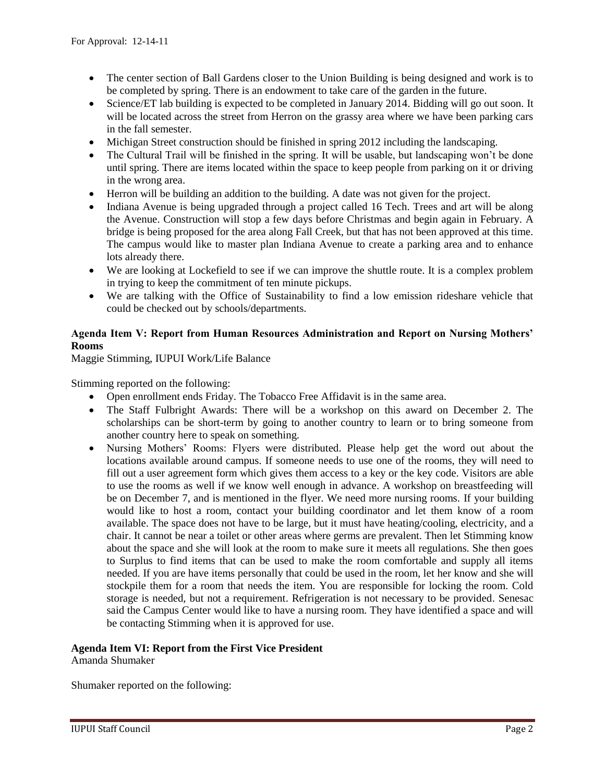- The center section of Ball Gardens closer to the Union Building is being designed and work is to be completed by spring. There is an endowment to take care of the garden in the future.
- Science/ET lab building is expected to be completed in January 2014. Bidding will go out soon. It will be located across the street from Herron on the grassy area where we have been parking cars in the fall semester.
- Michigan Street construction should be finished in spring 2012 including the landscaping.
- The Cultural Trail will be finished in the spring. It will be usable, but landscaping won't be done until spring. There are items located within the space to keep people from parking on it or driving in the wrong area.
- Herron will be building an addition to the building. A date was not given for the project.
- Indiana Avenue is being upgraded through a project called 16 Tech. Trees and art will be along the Avenue. Construction will stop a few days before Christmas and begin again in February. A bridge is being proposed for the area along Fall Creek, but that has not been approved at this time. The campus would like to master plan Indiana Avenue to create a parking area and to enhance lots already there.
- We are looking at Lockefield to see if we can improve the shuttle route. It is a complex problem in trying to keep the commitment of ten minute pickups.
- We are talking with the Office of Sustainability to find a low emission rideshare vehicle that could be checked out by schools/departments.

# **Agenda Item V: Report from Human Resources Administration and Report on Nursing Mothers' Rooms**

Maggie Stimming, IUPUI Work/Life Balance

Stimming reported on the following:

- Open enrollment ends Friday. The Tobacco Free Affidavit is in the same area.
- The Staff Fulbright Awards: There will be a workshop on this award on December 2. The scholarships can be short-term by going to another country to learn or to bring someone from another country here to speak on something.
- Nursing Mothers' Rooms: Flyers were distributed. Please help get the word out about the locations available around campus. If someone needs to use one of the rooms, they will need to fill out a user agreement form which gives them access to a key or the key code. Visitors are able to use the rooms as well if we know well enough in advance. A workshop on breastfeeding will be on December 7, and is mentioned in the flyer. We need more nursing rooms. If your building would like to host a room, contact your building coordinator and let them know of a room available. The space does not have to be large, but it must have heating/cooling, electricity, and a chair. It cannot be near a toilet or other areas where germs are prevalent. Then let Stimming know about the space and she will look at the room to make sure it meets all regulations. She then goes to Surplus to find items that can be used to make the room comfortable and supply all items needed. If you are have items personally that could be used in the room, let her know and she will stockpile them for a room that needs the item. You are responsible for locking the room. Cold storage is needed, but not a requirement. Refrigeration is not necessary to be provided. Senesac said the Campus Center would like to have a nursing room. They have identified a space and will be contacting Stimming when it is approved for use.

# **Agenda Item VI: Report from the First Vice President**

Amanda Shumaker

Shumaker reported on the following: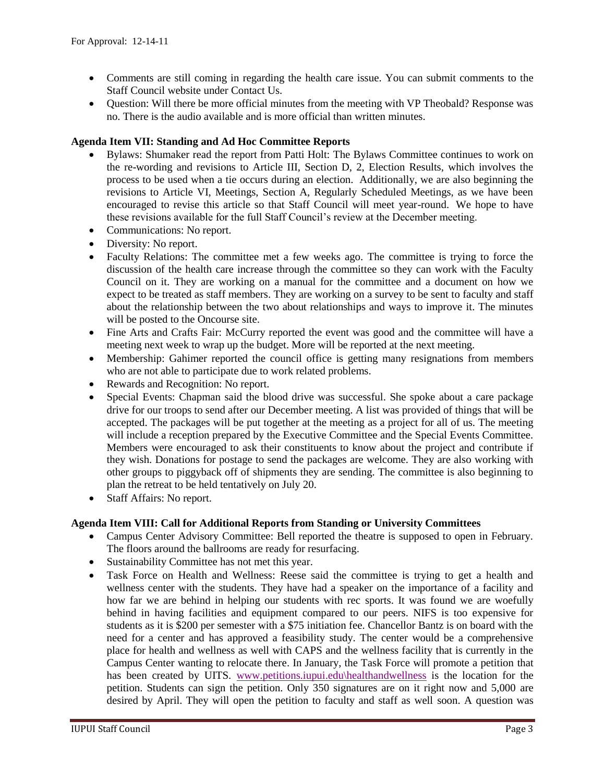- Comments are still coming in regarding the health care issue. You can submit comments to the Staff Council website under Contact Us.
- Question: Will there be more official minutes from the meeting with VP Theobald? Response was no. There is the audio available and is more official than written minutes.

# **Agenda Item VII: Standing and Ad Hoc Committee Reports**

- Bylaws: Shumaker read the report from Patti Holt: The Bylaws Committee continues to work on the re-wording and revisions to Article III, Section D, 2, Election Results, which involves the process to be used when a tie occurs during an election. Additionally, we are also beginning the revisions to Article VI, Meetings, Section A, Regularly Scheduled Meetings, as we have been encouraged to revise this article so that Staff Council will meet year-round. We hope to have these revisions available for the full Staff Council's review at the December meeting.
- Communications: No report.
- Diversity: No report.
- Faculty Relations: The committee met a few weeks ago. The committee is trying to force the discussion of the health care increase through the committee so they can work with the Faculty Council on it. They are working on a manual for the committee and a document on how we expect to be treated as staff members. They are working on a survey to be sent to faculty and staff about the relationship between the two about relationships and ways to improve it. The minutes will be posted to the Oncourse site.
- Fine Arts and Crafts Fair: McCurry reported the event was good and the committee will have a meeting next week to wrap up the budget. More will be reported at the next meeting.
- Membership: Gahimer reported the council office is getting many resignations from members who are not able to participate due to work related problems.
- Rewards and Recognition: No report.
- Special Events: Chapman said the blood drive was successful. She spoke about a care package drive for our troops to send after our December meeting. A list was provided of things that will be accepted. The packages will be put together at the meeting as a project for all of us. The meeting will include a reception prepared by the Executive Committee and the Special Events Committee. Members were encouraged to ask their constituents to know about the project and contribute if they wish. Donations for postage to send the packages are welcome. They are also working with other groups to piggyback off of shipments they are sending. The committee is also beginning to plan the retreat to be held tentatively on July 20.
- Staff Affairs: No report.

#### **Agenda Item VIII: Call for Additional Reports from Standing or University Committees**

- Campus Center Advisory Committee: Bell reported the theatre is supposed to open in February. The floors around the ballrooms are ready for resurfacing.
- Sustainability Committee has not met this year.
- Task Force on Health and Wellness: Reese said the committee is trying to get a health and wellness center with the students. They have had a speaker on the importance of a facility and how far we are behind in helping our students with rec sports. It was found we are woefully behind in having facilities and equipment compared to our peers. NIFS is too expensive for students as it is \$200 per semester with a \$75 initiation fee. Chancellor Bantz is on board with the need for a center and has approved a feasibility study. The center would be a comprehensive place for health and wellness as well with CAPS and the wellness facility that is currently in the Campus Center wanting to relocate there. In January, the Task Force will promote a petition that has been created by UITS. [www.petitions.iupui.edu\healthandwellness](http://www.petitions.iupui.edu/healthandwellness) is the location for the petition. Students can sign the petition. Only 350 signatures are on it right now and 5,000 are desired by April. They will open the petition to faculty and staff as well soon. A question was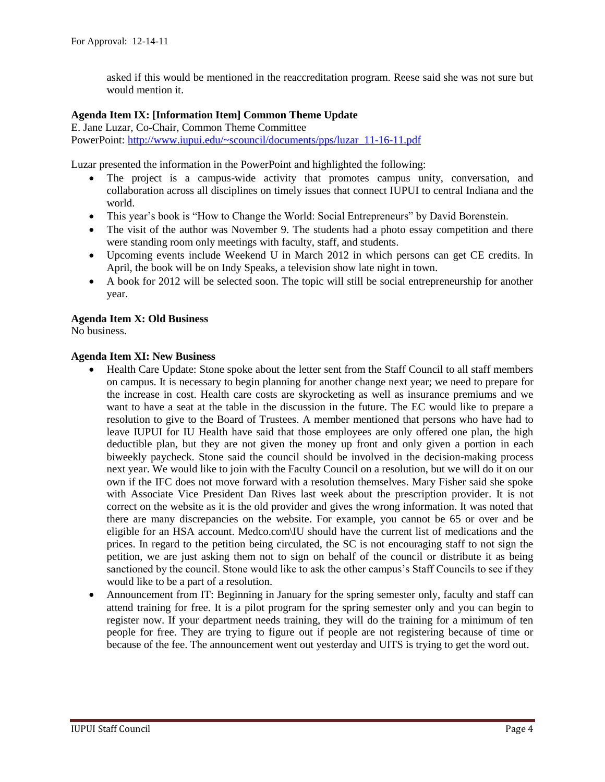asked if this would be mentioned in the reaccreditation program. Reese said she was not sure but would mention it.

## **Agenda Item IX: [Information Item] Common Theme Update**

E. Jane Luzar, Co-Chair, Common Theme Committee PowerPoint: [http://www.iupui.edu/~scouncil/documents/pps/luzar\\_11-16-11.pdf](http://www.iupui.edu/~scouncil/documents/pps/luzar_11-16-11.pdf)

Luzar presented the information in the PowerPoint and highlighted the following:

- The project is a campus-wide activity that promotes campus unity, conversation, and collaboration across all disciplines on timely issues that connect IUPUI to central Indiana and the world.
- This year's book is "How to Change the World: Social Entrepreneurs" by David Borenstein.
- The visit of the author was November 9. The students had a photo essay competition and there were standing room only meetings with faculty, staff, and students.
- Upcoming events include Weekend U in March 2012 in which persons can get CE credits. In April, the book will be on Indy Speaks, a television show late night in town.
- A book for 2012 will be selected soon. The topic will still be social entrepreneurship for another year.

#### **Agenda Item X: Old Business**

No business.

#### **Agenda Item XI: New Business**

- Health Care Update: Stone spoke about the letter sent from the Staff Council to all staff members on campus. It is necessary to begin planning for another change next year; we need to prepare for the increase in cost. Health care costs are skyrocketing as well as insurance premiums and we want to have a seat at the table in the discussion in the future. The EC would like to prepare a resolution to give to the Board of Trustees. A member mentioned that persons who have had to leave IUPUI for IU Health have said that those employees are only offered one plan, the high deductible plan, but they are not given the money up front and only given a portion in each biweekly paycheck. Stone said the council should be involved in the decision-making process next year. We would like to join with the Faculty Council on a resolution, but we will do it on our own if the IFC does not move forward with a resolution themselves. Mary Fisher said she spoke with Associate Vice President Dan Rives last week about the prescription provider. It is not correct on the website as it is the old provider and gives the wrong information. It was noted that there are many discrepancies on the website. For example, you cannot be 65 or over and be eligible for an HSA account. Medco.com\IU should have the current list of medications and the prices. In regard to the petition being circulated, the SC is not encouraging staff to not sign the petition, we are just asking them not to sign on behalf of the council or distribute it as being sanctioned by the council. Stone would like to ask the other campus's Staff Councils to see if they would like to be a part of a resolution.
- Announcement from IT: Beginning in January for the spring semester only, faculty and staff can attend training for free. It is a pilot program for the spring semester only and you can begin to register now. If your department needs training, they will do the training for a minimum of ten people for free. They are trying to figure out if people are not registering because of time or because of the fee. The announcement went out yesterday and UITS is trying to get the word out.